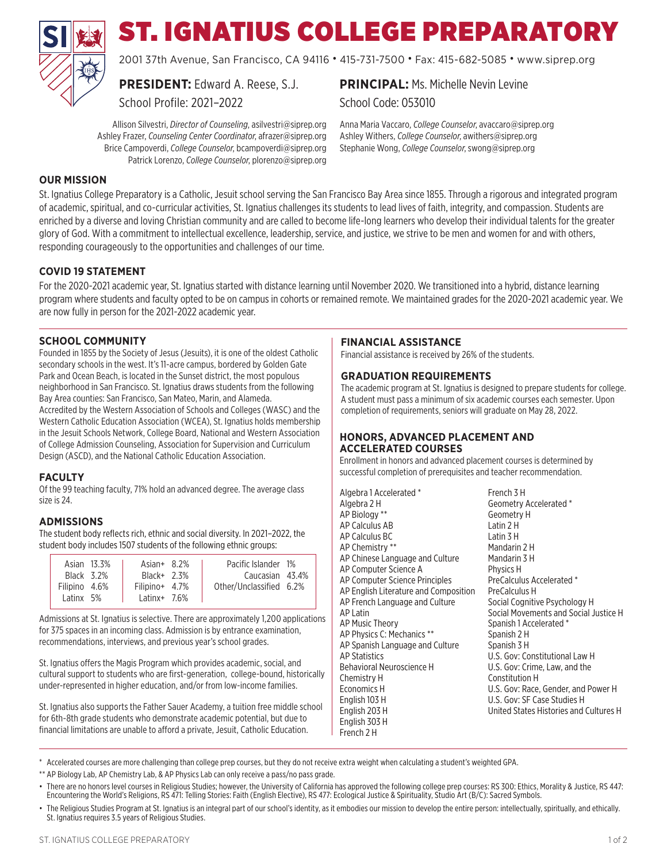

# ST. IGNATIUS COLLEGE PREPARATORY

2001 37th Avenue, San Francisco, CA 94116 • 415-731-7500 • Fax: 415-682-5085 • www.siprep.org

**PRESIDENT:** Edward A. Reese, S.J.

School Profile: 2021–2022

Allison Silvestri, *Director of Counseling*, asilvestri@siprep.org Ashley Frazer, *Counseling Center Coordinator*, afrazer@siprep.org Brice Campoverdi, *College Counselor*, bcampoverdi@siprep.org Patrick Lorenzo, *College Counselor*, plorenzo@siprep.org

**PRINCIPAL: Ms. Michelle Nevin Levine** School Code: 053010

Anna Maria Vaccaro, *College Counselor*, avaccaro@siprep.org Ashley Withers, *College Counselor*, awithers@siprep.org Stephanie Wong, *College Counselor*, swong@siprep.org

# **OUR MISSION**

St. Ignatius College Preparatory is a Catholic, Jesuit school serving the San Francisco Bay Area since 1855. Through a rigorous and integrated program of academic, spiritual, and co-curricular activities, St. Ignatius challenges its students to lead lives of faith, integrity, and compassion. Students are enriched by a diverse and loving Christian community and are called to become life-long learners who develop their individual talents for the greater glory of God. With a commitment to intellectual excellence, leadership, service, and justice, we strive to be men and women for and with others, responding courageously to the opportunities and challenges of our time.

## **COVID 19 STATEMENT**

For the 2020-2021 academic year, St. Ignatius started with distance learning until November 2020. We transitioned into a hybrid, distance learning program where students and faculty opted to be on campus in cohorts or remained remote. We maintained grades for the 2020-2021 academic year. We are now fully in person for the 2021-2022 academic year.

### **SCHOOL COMMUNITY**

Founded in 1855 by the Society of Jesus (Jesuits), it is one of the oldest Catholic secondary schools in the west. It's 11-acre campus, bordered by Golden Gate Park and Ocean Beach, is located in the Sunset district, the most populous neighborhood in San Francisco. St. Ignatius draws students from the following Bay Area counties: San Francisco, San Mateo, Marin, and Alameda. Accredited by the Western Association of Schools and Colleges (WASC) and the Western Catholic Education Association (WCEA), St. Ignatius holds membership in the Jesuit Schools Network, College Board, National and Western Association of College Admission Counseling, Association for Supervision and Curriculum Design (ASCD), and the National Catholic Education Association.

#### **FACULTY**

Of the 99 teaching faculty, 71% hold an advanced degree. The average class size is 24.

#### **ADMISSIONS**

The student body reflects rich, ethnic and social diversity. In 2021–2022, the student body includes 1507 students of the following ethnic groups:

| Asian 13.3%<br>Black 3.2%  | Asian + $8.2\%$<br>$Black+ 2.3%$      | Pacific Islander 1%<br>Caucasian 43.4% |  |
|----------------------------|---------------------------------------|----------------------------------------|--|
| Filipino 4.6%<br>Latinx 5% | Filipino + $4.7\%$<br>Latinx $+$ 7.6% | Other/Unclassified 6.2%                |  |

Admissions at St. Ignatius is selective. There are approximately 1,200 applications for 375 spaces in an incoming class. Admission is by entrance examination, recommendations, interviews, and previous year's school grades.

St. Ignatius offers the Magis Program which provides academic, social, and cultural support to students who are first-generation, college-bound, historically under-represented in higher education, and/or from low-income families.

St. Ignatius also supports the Father Sauer Academy, a tuition free middle school for 6th-8th grade students who demonstrate academic potential, but due to financial limitations are unable to afford a private, Jesuit, Catholic Education.

#### **FINANCIAL ASSISTANCE**

Financial assistance is received by 26% of the students.

#### **GRADUATION REQUIREMENTS**

The academic program at St. Ignatius is designed to prepare students for college. A student must pass a minimum of six academic courses each semester. Upon completion of requirements, seniors will graduate on May 28, 2022.

#### **HONORS, ADVANCED PLACEMENT AND ACCELERATED COURSES**

Enrollment in honors and advanced placement courses is determined by successful completion of prerequisites and teacher recommendation.

| Algebra 1 Accelerated *               | French 3 H                             |
|---------------------------------------|----------------------------------------|
| Algebra 2 H                           | Geometry Accelerated *                 |
| AP Biology **                         | Geometry H                             |
| AP Calculus AB                        | Latin 2 H                              |
| AP Calculus BC                        | Latin $3H$                             |
| AP Chemistry **                       | Mandarin 2 H                           |
| AP Chinese Language and Culture       | Mandarin 3 H                           |
| AP Computer Science A                 | Physics H                              |
| AP Computer Science Principles        | PreCalculus Accelerated *              |
| AP English Literature and Composition | PreCalculus H                          |
| AP French Language and Culture        | Social Cognitive Psychology H          |
| AP Latin                              | Social Movements and Social Justice H  |
| AP Music Theory                       | Spanish 1 Accelerated *                |
| AP Physics C: Mechanics **            | Spanish 2 H                            |
| AP Spanish Language and Culture       | Spanish 3 H                            |
| AP Statistics                         | U.S. Gov: Constitutional Law H         |
| Behavioral Neuroscience H             | U.S. Gov: Crime, Law, and the          |
| Chemistry H                           | Constitution H                         |
| Economics H                           | U.S. Gov: Race, Gender, and Power H    |
| English 103 H                         | U.S. Gov: SF Case Studies H            |
| English 203 H                         | United States Histories and Cultures H |
| English 303 H                         |                                        |
| French 2 H                            |                                        |

\* Accelerated courses are more challenging than college prep courses, but they do not receive extra weight when calculating a student's weighted GPA.

\*\* AP Biology Lab, AP Chemistry Lab, & AP Physics Lab can only receive a pass/no pass grade.

• There are no honors level courses in Religious Studies; however, the University of California has approved the following college prep courses: RS 300: Ethics, Morality & Justice, RS 447: Encountering the World's Religions, RS 471: Telling Stories: Faith (English Elective), RS 477: Ecological Justice & Spirituality, Studio Art (B/C): Sacred Symbols.

<sup>•</sup> The Religious Studies Program at St. Ignatius is an integral part of our school's identity, as it embodies our mission to develop the entire person: intellectually, spiritually, and ethically. St. Ignatius requires 3.5 years of Religious Studies.